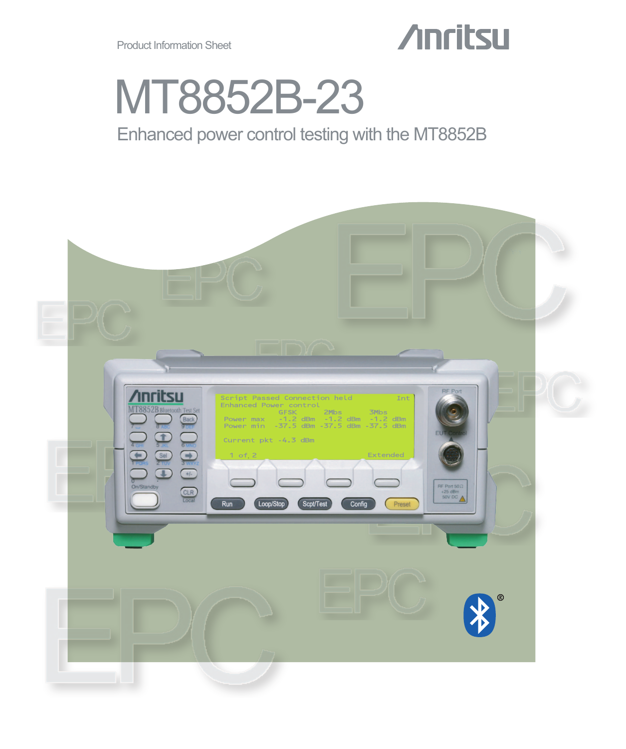# **Anritsu**

# MT8852B-23

## Enhanced power control testing with the MT8852B

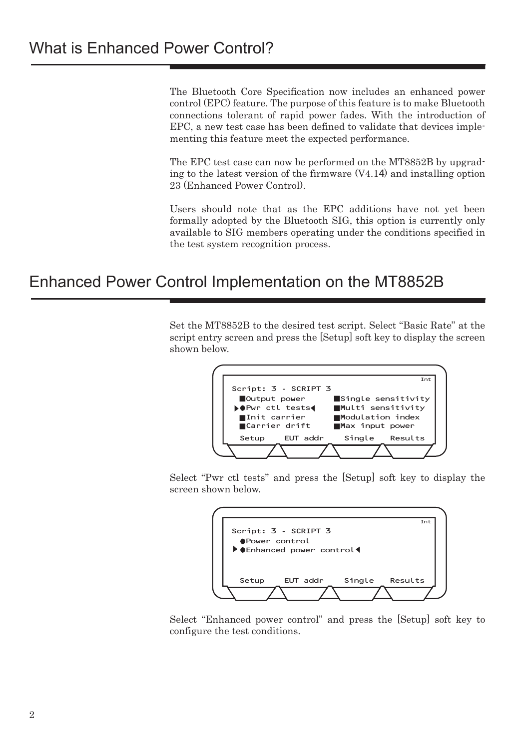The Bluetooth Core Specification now includes an enhanced power control (EPC) feature. The purpose of this feature is to make Bluetooth connections tolerant of rapid power fades. With the introduction of EPC, a new test case has been defined to validate that devices implementing this feature meet the expected performance.

The EPC test case can now be performed on the MT8852B by upgrading to the latest version of the firmware (V4.14) and installing option 23 (Enhanced Power Control).

Users should note that as the EPC additions have not yet been formally adopted by the Bluetooth SIG, this option is currently only available to SIG members operating under the conditions specified in the test system recognition process.

### Enhanced Power Control Implementation on the MT8852B

Set the MT8852B to the desired test script. Select "Basic Rate" at the script entry screen and press the [Setup] soft key to display the screen shown below.



Select "Pwr ctl tests" and press the [Setup] soft key to display the screen shown below.



Select "Enhanced power control" and press the [Setup] soft key to configure the test conditions.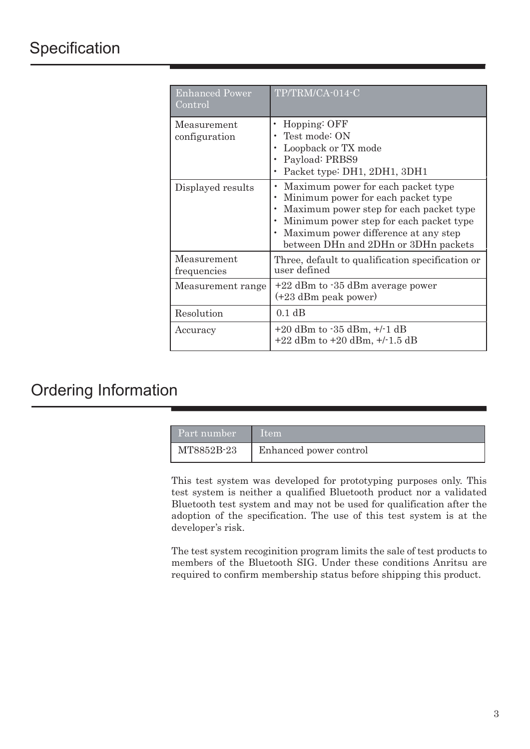| <b>Enhanced Power</b><br>Control | TP/TRM/CA-014-C                                                                                                                                                                                                                                |
|----------------------------------|------------------------------------------------------------------------------------------------------------------------------------------------------------------------------------------------------------------------------------------------|
| Measurement<br>configuration     | Hopping: OFF<br>Test mode: ON<br>Loopback or TX mode<br>Payload: PRBS9<br>Packet type: DH1, 2DH1, 3DH1                                                                                                                                         |
| Displayed results                | Maximum power for each packet type<br>Minimum power for each packet type<br>Maximum power step for each packet type<br>Minimum power step for each packet type<br>Maximum power difference at any step<br>between DHn and 2DHn or 3DHn packets |
| Measurement<br>frequencies       | Three, default to qualification specification or<br>user defined                                                                                                                                                                               |
| Measurement range                | $+22$ dBm to $-35$ dBm average power<br>$(+23$ dBm peak power)                                                                                                                                                                                 |
| Resolution                       | 0.1 dB                                                                                                                                                                                                                                         |
| Accuracy                         | $+20$ dBm to $-35$ dBm, $+/-1$ dB<br>$+22$ dBm to $+20$ dBm, $+/-1.5$ dB                                                                                                                                                                       |

## Ordering Information

| Part number | Item                   |
|-------------|------------------------|
| MT8852B-23  | Enhanced power control |

This test system was developed for prototyping purposes only. This test system is neither a qualified Bluetooth product nor a validated Bluetooth test system and may not be used for qualification after the adoption of the specification. The use of this test system is at the developer's risk.

The test system recoginition program limits the sale of test products to members of the Bluetooth SIG. Under these conditions Anritsu are required to confirm membership status before shipping this product.